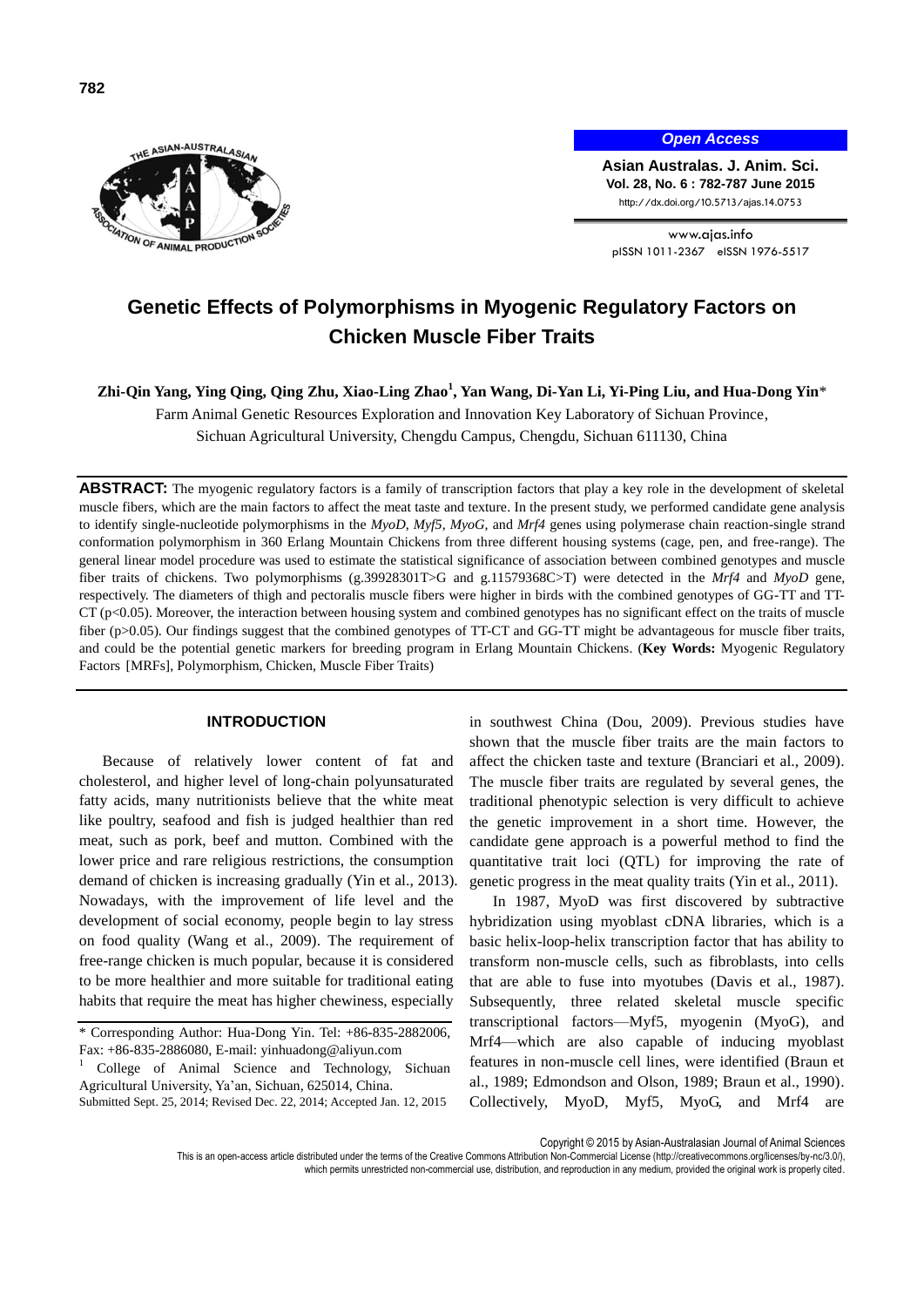

*Open Access*

**Asian Australas. J. Anim. Sci. Vol. 28, No. 6 : 782-787 June 2015** http://dx.doi.org/10.5713/ajas.14.0753

www.ajas.info pISSN 1011-2367 eISSN 1976-5517

# **Genetic Effects of Polymorphisms in Myogenic Regulatory Factors on Chicken Muscle Fiber Traits**

**Zhi-Qin Yang, Ying Qing, Qing Zhu, Xiao-Ling Zhao<sup>1</sup> , Yan Wang, Di-Yan Li, Yi-Ping Liu, and Hua-Dong Yin**\*

Farm Animal Genetic Resources Exploration and Innovation Key Laboratory of Sichuan Province, Sichuan Agricultural University, Chengdu Campus, Chengdu, Sichuan 611130, China

**ABSTRACT:** The myogenic regulatory factors is a family of transcription factors that play a key role in the development of skeletal muscle fibers, which are the main factors to affect the meat taste and texture. In the present study, we performed candidate gene analysis to identify single-nucleotide polymorphisms in the *MyoD*, *Myf5*, *MyoG*, and *Mrf4* genes using polymerase chain reaction-single strand conformation polymorphism in 360 Erlang Mountain Chickens from three different housing systems (cage, pen, and free-range). The general linear model procedure was used to estimate the statistical significance of association between combined genotypes and muscle fiber traits of chickens. Two polymorphisms (g.39928301T>G and g.11579368C>T) were detected in the *Mrf4* and *MyoD* gene, respectively. The diameters of thigh and pectoralis muscle fibers were higher in birds with the combined genotypes of GG-TT and TT- $CT$  ( $p<0.05$ ). Moreover, the interaction between housing system and combined genotypes has no significant effect on the traits of muscle fiber (p>0.05). Our findings suggest that the combined genotypes of TT-CT and GG-TT might be advantageous for muscle fiber traits, and could be the potential genetic markers for breeding program in Erlang Mountain Chickens. (**Key Words:** Myogenic Regulatory Factors [MRFs], Polymorphism, Chicken, Muscle Fiber Traits)

### **INTRODUCTION**

Because of relatively lower content of fat and cholesterol, and higher level of long-chain polyunsaturated fatty acids, many nutritionists believe that the white meat like poultry, seafood and fish is judged healthier than red meat, such as pork, beef and mutton. Combined with the lower price and rare religious restrictions, the consumption demand of chicken is increasing gradually (Yin et al., 2013). Nowadays, with the improvement of life level and the development of social economy, people begin to lay stress on food quality (Wang et al., 2009). The requirement of free-range chicken is much popular, because it is considered to be more healthier and more suitable for traditional eating habits that require the meat has higher chewiness, especially

in southwest China (Dou, 2009). Previous studies have shown that the muscle fiber traits are the main factors to affect the chicken taste and texture (Branciari et al., 2009). The muscle fiber traits are regulated by several genes, the traditional phenotypic selection is very difficult to achieve the genetic improvement in a short time. However, the candidate gene approach is a powerful method to find the quantitative trait loci (QTL) for improving the rate of genetic progress in the meat quality traits (Yin et al., 2011).

In 1987, MyoD was first discovered by subtractive hybridization using myoblast cDNA libraries, which is a basic helix-loop-helix transcription factor that has ability to transform non-muscle cells, such as fibroblasts, into cells that are able to fuse into myotubes (Davis et al., 1987). Subsequently, three related skeletal muscle specific transcriptional factors—Myf5, myogenin (MyoG), and Mrf4—which are also capable of inducing myoblast features in non-muscle cell lines, were identified (Braun et al., 1989; Edmondson and Olson, 1989; Braun et al., 1990). Collectively, MyoD, Myf5, MyoG, and Mrf4 are

Copyright © 2015 by Asian-Australasian Journal of Animal Sciences

<sup>\*</sup> Corresponding Author: Hua-Dong Yin. Tel: +86-835-2882006, Fax: +86-835-2886080, E-mail: yinhuadong@aliyun.com

<sup>1</sup> College of Animal Science and Technology, Sichuan Agricultural University, Ya'an, Sichuan, 625014, China. Submitted Sept. 25, 2014; Revised Dec. 22, 2014; Accepted Jan. 12, 2015

This is an open-access article distributed under the terms of the Creative Commons Attribution Non-Commercial License [\(http://creativecommons.org/licenses/by-nc/3.0/\),](http://creativecommons.org/licenses/by-nc/3.0/) which permits unrestricted non-commercial use, distribution, and reproduction in any medium, provided the original work is properly cited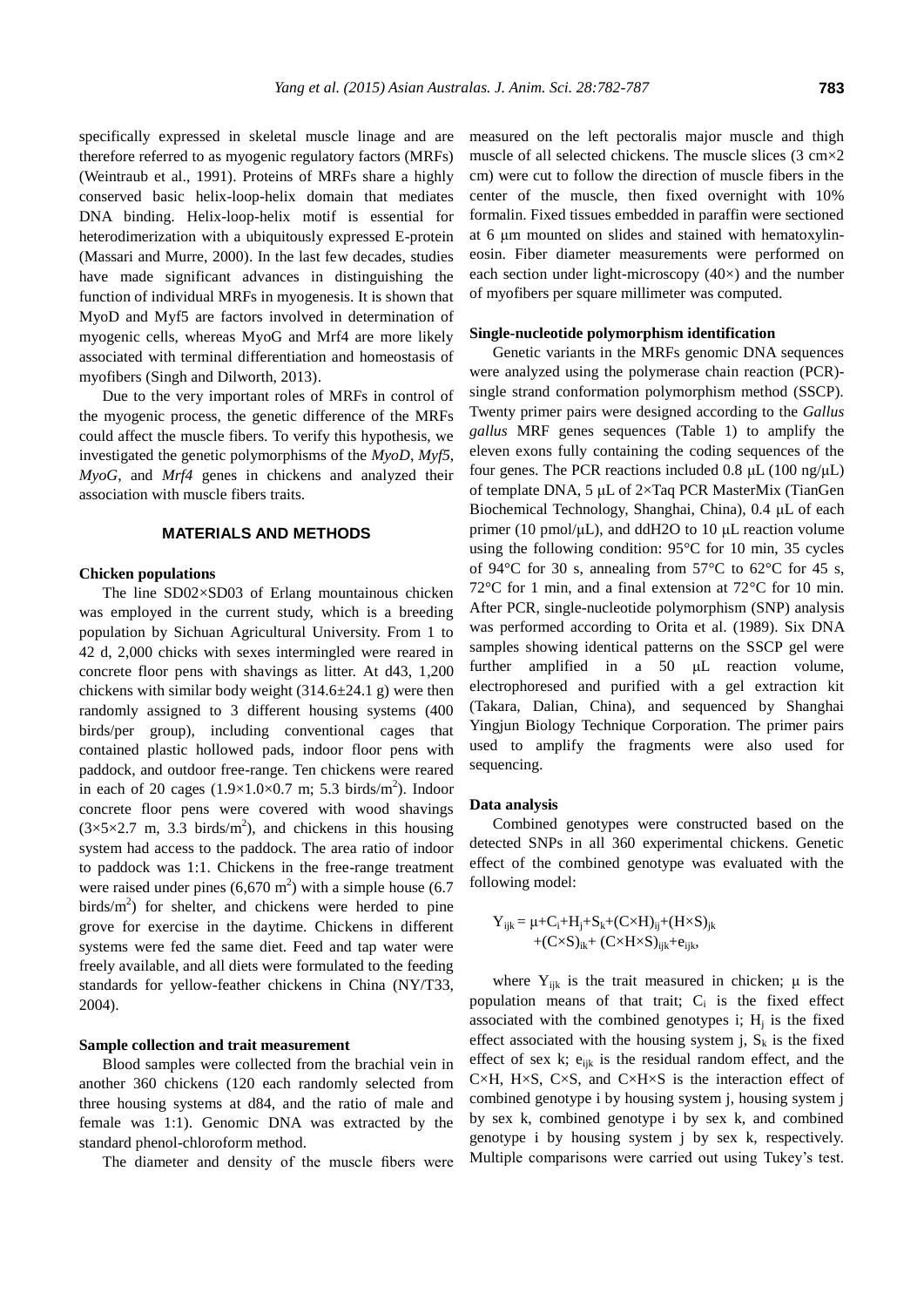specifically expressed in skeletal muscle linage and are therefore referred to as myogenic regulatory factors (MRFs) (Weintraub et al., 1991). Proteins of MRFs share a highly conserved basic helix-loop-helix domain that mediates DNA binding. Helix-loop-helix motif is essential for heterodimerization with a ubiquitously expressed E-protein (Massari and Murre, 2000). In the last few decades, studies have made significant advances in distinguishing the function of individual MRFs in myogenesis. It is shown that MyoD and Myf5 are factors involved in determination of myogenic cells, whereas MyoG and Mrf4 are more likely associated with terminal differentiation and homeostasis of myofibers (Singh and Dilworth, 2013).

Due to the very important roles of MRFs in control of the myogenic process, the genetic difference of the MRFs could affect the muscle fibers. To verify this hypothesis, we investigated the genetic polymorphisms of the *MyoD*, *Myf5*, *MyoG*, and *Mrf4* genes in chickens and analyzed their association with muscle fibers traits.

# **MATERIALS AND METHODS**

#### **Chicken populations**

The line SD02×SD03 of Erlang mountainous chicken was employed in the current study, which is a breeding population by Sichuan Agricultural University. From 1 to 42 d, 2,000 chicks with sexes intermingled were reared in concrete floor pens with shavings as litter. At d43, 1,200 chickens with similar body weight  $(314.6\pm 24.1 \text{ g})$  were then randomly assigned to 3 different housing systems (400 birds/per group), including conventional cages that contained plastic hollowed pads, indoor floor pens with paddock, and outdoor free-range. Ten chickens were reared in each of 20 cages  $(1.9 \times 1.0 \times 0.7 \text{ m}$ ; 5.3 birds/m<sup>2</sup>). Indoor concrete floor pens were covered with wood shavings  $(3\times5\times2.7 \text{ m}, 3.3 \text{ birds/m}^2)$ , and chickens in this housing system had access to the paddock. The area ratio of indoor to paddock was 1:1. Chickens in the free-range treatment were raised under pines  $(6,670 \text{ m}^2)$  with a simple house  $(6.7$ birds/ $m<sup>2</sup>$ ) for shelter, and chickens were herded to pine grove for exercise in the daytime. Chickens in different systems were fed the same diet. Feed and tap water were freely available, and all diets were formulated to the feeding standards for yellow-feather chickens in China (NY/T33, 2004).

#### **Sample collection and trait measurement**

Blood samples were collected from the brachial vein in another 360 chickens (120 each randomly selected from three housing systems at d84, and the ratio of male and female was 1:1). Genomic DNA was extracted by the standard phenol-chloroform method.

The diameter and density of the muscle fibers were

measured on the left pectoralis major muscle and thigh muscle of all selected chickens. The muscle slices  $(3 \text{ cm} \times 2)$ cm) were cut to follow the direction of muscle fibers in the center of the muscle, then fixed overnight with 10% formalin. Fixed tissues embedded in paraffin were sectioned at 6 μm mounted on slides and stained with hematoxylineosin. Fiber diameter measurements were performed on each section under light-microscopy  $(40x)$  and the number of myofibers per square millimeter was computed.

# **Single-nucleotide polymorphism identification**

Genetic variants in the MRFs genomic DNA sequences were analyzed using the polymerase chain reaction (PCR) single strand conformation polymorphism method (SSCP). Twenty primer pairs were designed according to the *Gallus gallus* MRF genes sequences (Table 1) to amplify the eleven exons fully containing the coding sequences of the four genes. The PCR reactions included 0.8  $\mu$ L (100 ng/ $\mu$ L) of template DNA, 5 μL of 2×Taq PCR MasterMix (TianGen Biochemical Technology, Shanghai, China), 0.4 μL of each primer (10 pmol/μL), and ddH2O to 10 μL reaction volume using the following condition:  $95^{\circ}$ C for 10 min, 35 cycles of 94 $\degree$ C for 30 s, annealing from 57 $\degree$ C to 62 $\degree$ C for 45 s, 72°C for 1 min, and a final extension at 72°C for 10 min. After PCR, single-nucleotide polymorphism (SNP) analysis was performed according to Orita et al. (1989). Six DNA samples showing identical patterns on the SSCP gel were further amplified in a 50 μL reaction volume, electrophoresed and purified with a gel extraction kit (Takara, Dalian, China), and sequenced by Shanghai Yingjun Biology Technique Corporation. The primer pairs used to amplify the fragments were also used for sequencing.

#### **Data analysis**

Combined genotypes were constructed based on the detected SNPs in all 360 experimental chickens. Genetic effect of the combined genotype was evaluated with the following model:

$$
\begin{aligned} Y_{ijk} &= \mu + C_i + H_j + S_k + (C \times H)_{ij} + (H \times S)_{jk} \\ &\quad + (C \times S)_{ik} + \ (C \times H \times S)_{ijk} + e_{ijk}, \end{aligned}
$$

where  $Y_{ijk}$  is the trait measured in chicken;  $\mu$  is the population means of that trait;  $C_i$  is the fixed effect associated with the combined genotypes i;  $H<sub>j</sub>$  is the fixed effect associated with the housing system j,  $S_k$  is the fixed effect of sex k;  $e_{ijk}$  is the residual random effect, and the C $\times$ H, H $\times$ S, C $\times$ S, and C $\times$ H $\times$ S is the interaction effect of combined genotype i by housing system j, housing system j by sex k, combined genotype i by sex k, and combined genotype i by housing system j by sex k, respectively. Multiple comparisons were carried out using Tukey's test.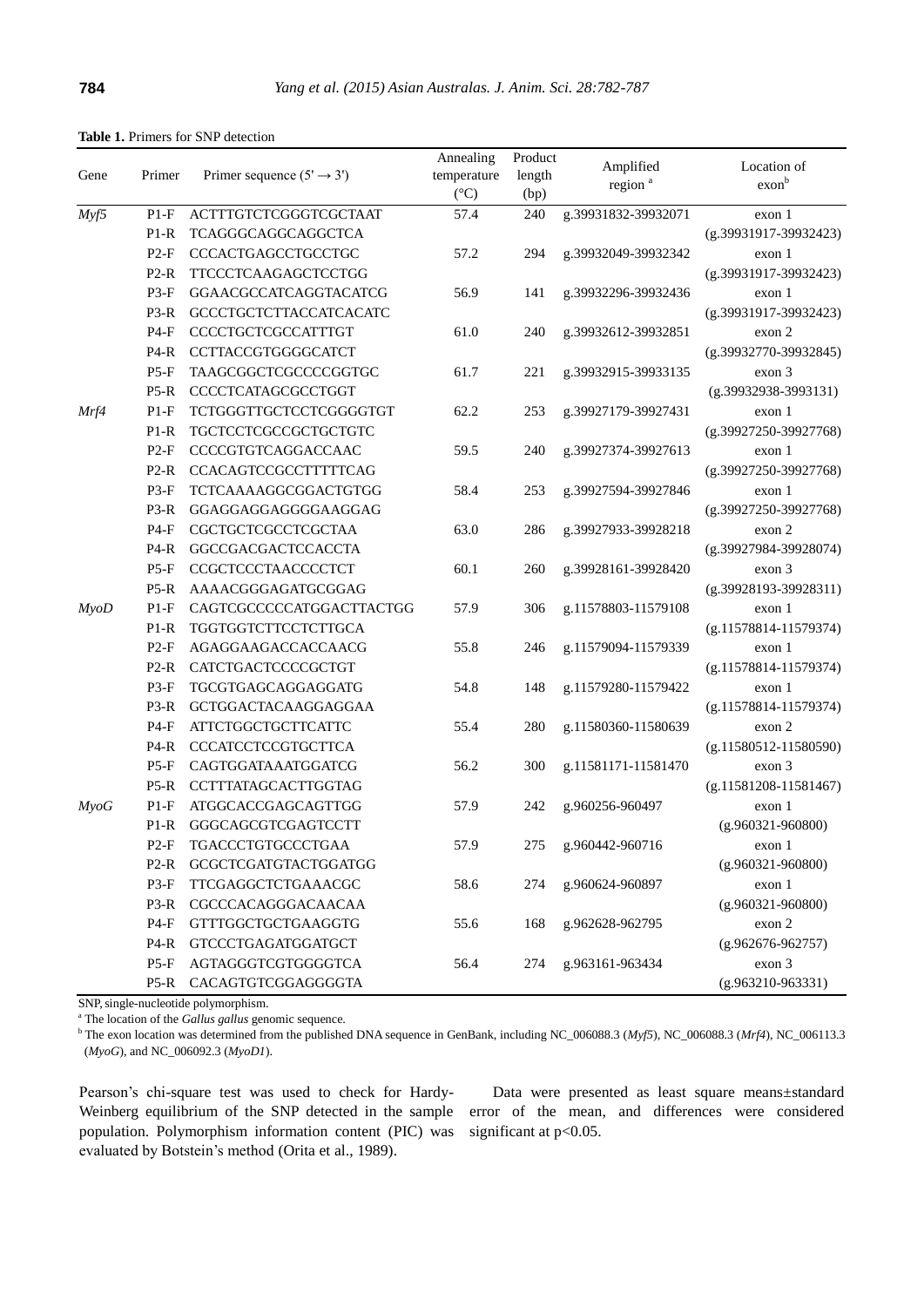|                 |        |                                       | Annealing       | Product |                                  |                                  |
|-----------------|--------|---------------------------------------|-----------------|---------|----------------------------------|----------------------------------|
| Gene            | Primer | Primer sequence $(5' \rightarrow 3')$ | temperature     | length  | Amplified<br>region <sup>a</sup> | Location of<br>exon <sup>b</sup> |
|                 |        |                                       | $({}^{\circ}C)$ | (bp)    |                                  |                                  |
| Myf5            | $P1-F$ | ACTTTGTCTCGGGTCGCTAAT                 | 57.4            | 240     | g.39931832-39932071              | exon 1                           |
|                 | $P1-R$ | TCAGGGCAGGCAGGCTCA                    |                 |         |                                  | (g.39931917-39932423)            |
|                 | $P2-F$ | CCCACTGAGCCTGCCTGC                    | 57.2            | 294     | g.39932049-39932342              | exon 1                           |
|                 | $P2-R$ | TTCCCTCAAGAGCTCCTGG                   |                 |         |                                  | $(g.39931917-39932423)$          |
|                 | $P3-F$ | GGAACGCCATCAGGTACATCG                 | 56.9            | 141     | g.39932296-39932436              | exon 1                           |
|                 | $P3-R$ | GCCCTGCTCTTACCATCACATC                |                 |         |                                  | $(g.39931917-39932423)$          |
|                 | $P4-F$ | CCCCTGCTCGCCATTTGT                    | 61.0            | 240     | g.39932612-39932851              | exon 2                           |
|                 | $P4-R$ | CCTTACCGTGGGGCATCT                    |                 |         |                                  | $(g.39932770-39932845)$          |
|                 | $P5-F$ | TAAGCGGCTCGCCCCGGTGC                  | 61.7            | 221     | g.39932915-39933135              | exon 3                           |
|                 | $P5-R$ | CCCCTCATAGCGCCTGGT                    |                 |         |                                  | $(g.39932938-3993131)$           |
| Mrf4            | $P1-F$ | <b>TCTGGGTTGCTCCTCGGGGTGT</b>         | 62.2            | 253     | g.39927179-39927431              | exon 1                           |
|                 | $P1-R$ | <b>TGCTCCTCGCCGCTGCTGTC</b>           |                 |         |                                  | $(g.39927250-39927768)$          |
|                 | $P2-F$ | CCCCGTGTCAGGACCAAC                    | 59.5            | 240     | g.39927374-39927613              | exon 1                           |
|                 | $P2-R$ | CCACAGTCCGCCTTTTTCAG                  |                 |         |                                  | $(g.39927250-39927768)$          |
|                 | $P3-F$ | TCTCAAAAGGCGGACTGTGG                  | 58.4            | 253     | g.39927594-39927846              | exon 1                           |
|                 | $P3-R$ | GGAGGAGGAGGGAAGGAG                    |                 |         |                                  | (g.39927250-39927768)            |
|                 | $P4-F$ | CGCTGCTCGCCTCGCTAA                    | 63.0            | 286     | g.39927933-39928218              | exon 2                           |
|                 | $P4-R$ | GGCCGACGACTCCACCTA                    |                 |         |                                  | $(g.39927984-39928074)$          |
|                 | $P5-F$ | CCGCTCCCTAACCCCTCT                    | 60.1            | 260     | g.39928161-39928420              | exon 3                           |
|                 | $P5-R$ | AAAACGGGAGATGCGGAG                    |                 |         |                                  | (g.39928193-39928311)            |
| $M$ <i>yo</i> D | $P1-F$ | CAGTCGCCCCCATGGACTTACTGG              | 57.9            | 306     | g.11578803-11579108              | exon 1                           |
|                 | $P1-R$ | TGGTGGTCTTCCTCTTGCA                   |                 |         |                                  | $(g.11578814 - 11579374)$        |
|                 | $P2-F$ | AGAGGAAGACCACCAACG                    | 55.8            | 246     | g.11579094-11579339              | exon 1                           |
|                 | $P2-R$ | CATCTGACTCCCCGCTGT                    |                 |         |                                  | $(g.11578814 - 11579374)$        |
|                 | $P3-F$ | TGCGTGAGCAGGAGGATG                    | 54.8            | 148     | g.11579280-11579422              | exon 1                           |
|                 | $P3-R$ | GCTGGACTACAAGGAGGAA                   |                 |         |                                  | (g.11578814-11579374)            |
|                 | $P4-F$ | <b>ATTCTGGCTGCTTCATTC</b>             | 55.4            | 280     | g.11580360-11580639              | exon 2                           |
|                 | $P4-R$ | CCCATCCTCCGTGCTTCA                    |                 |         |                                  | $(g.11580512 - 11580590)$        |
|                 | $P5-F$ | CAGTGGATAAATGGATCG                    | 56.2            | 300     | g.11581171-11581470              | exon 3                           |
|                 | $P5-R$ | CCTTTATAGCACTTGGTAG                   |                 |         |                                  | $(g.11581208 - 11581467)$        |
| $M\gamma oG$    | $P1-F$ | ATGGCACCGAGCAGTTGG                    | 57.9            | 242     | g.960256-960497                  | exon 1                           |
|                 | P1-R   | GGGCAGCGTCGAGTCCTT                    |                 |         |                                  | $(g.960321 - 960800)$            |
|                 |        | P2-F TGACCCTGTGCCCTGAA                | 57.9            | 275     | g.960442-960716                  | exon 1                           |
|                 | $P2-R$ | <b>GCGCTCGATGTACTGGATGG</b>           |                 |         |                                  | $(g.960321 - 960800)$            |
|                 | $P3-F$ | TTCGAGGCTCTGAAACGC                    | 58.6            | 274     | g.960624-960897                  | exon 1                           |
|                 | $P3-R$ | CGCCCACAGGGACAACAA                    |                 |         |                                  | $(g.960321 - 960800)$            |
|                 | $P4-F$ | <b>GTTTGGCTGCTGAAGGTG</b>             | 55.6            | 168     | g.962628-962795                  | exon 2                           |
|                 | $P4-R$ | <b>GTCCCTGAGATGGATGCT</b>             |                 |         |                                  | $(g.962676-962757)$              |
|                 | $P5-F$ | AGTAGGGTCGTGGGGTCA                    | 56.4            | 274     | g.963161-963434                  | exon 3                           |
|                 | $P5-R$ | CACAGTGTCGGAGGGGTA                    |                 |         |                                  | (g.963210-963331)                |

**Table 1.** Primers for SNP detection

SNP, single-nucleotide polymorphism.

<sup>a</sup> The location of the *Gallus gallus* genomic sequence.

<sup>b</sup> The exon location was determined from the published DNA sequence in GenBank, including NC\_006088.3 (*Myf5*), NC\_006088.3 (*Mrf4*), NC\_006113.3 (*MyoG*), and NC\_006092.3 (*MyoD1*).

Pearson's chi-square test was used to check for Hardy-Weinberg equilibrium of the SNP detected in the sample population. Polymorphism information content (PIC) was evaluated by Botstein's method (Orita et al., 1989).

Data were presented as least square means±standard error of the mean, and differences were considered significant at p<0.05.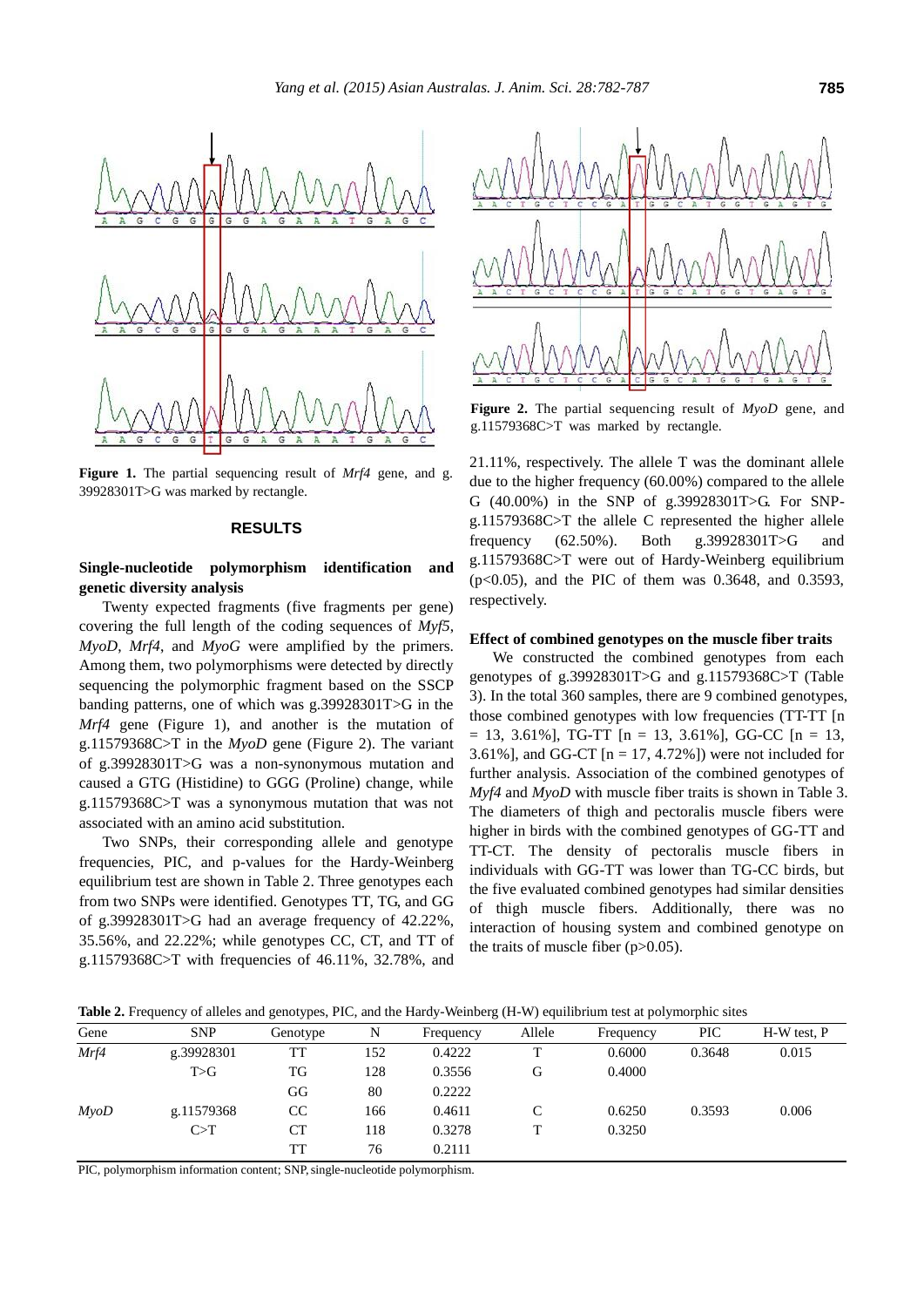

**Figure 1.** The partial sequencing result of *Mrf4* gene, and g. 39928301T>G was marked by rectangle.

#### **RESULTS**

# **Single-nucleotide polymorphism identification and genetic diversity analysis**

Twenty expected fragments (five fragments per gene) covering the full length of the coding sequences of *Myf5*, *MyoD*, *Mrf4*, and *MyoG* were amplified by the primers. Among them, two polymorphisms were detected by directly sequencing the polymorphic fragment based on the SSCP banding patterns, one of which was g.39928301T>G in the *Mrf4* gene (Figure 1), and another is the mutation of g.11579368C>T in the *MyoD* gene (Figure 2). The variant of g.39928301T>G was a non-synonymous mutation and caused a GTG (Histidine) to GGG (Proline) change, while g.11579368C>T was a synonymous mutation that was not associated with an amino acid substitution.

Two SNPs, their corresponding allele and genotype frequencies, PIC, and p-values for the Hardy-Weinberg equilibrium test are shown in Table 2. Three genotypes each from two SNPs were identified. Genotypes TT, TG, and GG of g.39928301T>G had an average frequency of 42.22%, 35.56%, and 22.22%; while genotypes CC, CT, and TT of g.11579368C>T with frequencies of 46.11%, 32.78%, and



**Figure 2.** The partial sequencing result of *MyoD* gene, and g.11579368C>T was marked by rectangle.

21.11%, respectively. The allele T was the dominant allele due to the higher frequency (60.00%) compared to the allele G (40.00%) in the SNP of g.39928301T>G. For SNPg.11579368C>T the allele C represented the higher allele frequency (62.50%). Both g.39928301T>G and g.11579368C>T were out of Hardy-Weinberg equilibrium (p<0.05), and the PIC of them was 0.3648, and 0.3593, respectively.

#### **Effect of combined genotypes on the muscle fiber traits**

We constructed the combined genotypes from each genotypes of g.39928301T>G and g.11579368C>T (Table 3). In the total 360 samples, there are 9 combined genotypes, those combined genotypes with low frequencies (TT-TT [n  $= 13, 3.61\%$ ], TG-TT [n  $= 13, 3.61\%$ ], GG-CC [n  $= 13,$ 3.61%], and GG-CT  $[n = 17, 4.72\%]$  were not included for further analysis. Association of the combined genotypes of *Myf4* and *MyoD* with muscle fiber traits is shown in Table 3. The diameters of thigh and pectoralis muscle fibers were higher in birds with the combined genotypes of GG-TT and TT-CT. The density of pectoralis muscle fibers in individuals with GG-TT was lower than TG-CC birds, but the five evaluated combined genotypes had similar densities of thigh muscle fibers. Additionally, there was no interaction of housing system and combined genotype on the traits of muscle fiber  $(p>0.05)$ .

**Table 2.** Frequency of alleles and genotypes, PIC, and the Hardy-Weinberg (H-W) equilibrium test at polymorphic sites

|         |            | . .       |     |           |        |           |            |             |
|---------|------------|-----------|-----|-----------|--------|-----------|------------|-------------|
| Gene    | <b>SNP</b> | Genotype  | N   | Frequency | Allele | Frequency | <b>PIC</b> | H-W test, P |
| Mrf4    | g.39928301 | TT        | 152 | 0.4222    | ᠇᠇     | 0.6000    | 0.3648     | 0.015       |
|         | T>G        | TG        | 128 | 0.3556    | G      | 0.4000    |            |             |
|         |            | GG        | 80  | 0.2222    |        |           |            |             |
| $M$ yoD | g.11579368 | CC        | 166 | 0.4611    |        | 0.6250    | 0.3593     | 0.006       |
|         | C>T        | <b>CT</b> | 118 | 0.3278    | т      | 0.3250    |            |             |
|         |            | TT        | 76  | 0.2111    |        |           |            |             |

PIC, polymorphism information content; SNP, single-nucleotide polymorphism.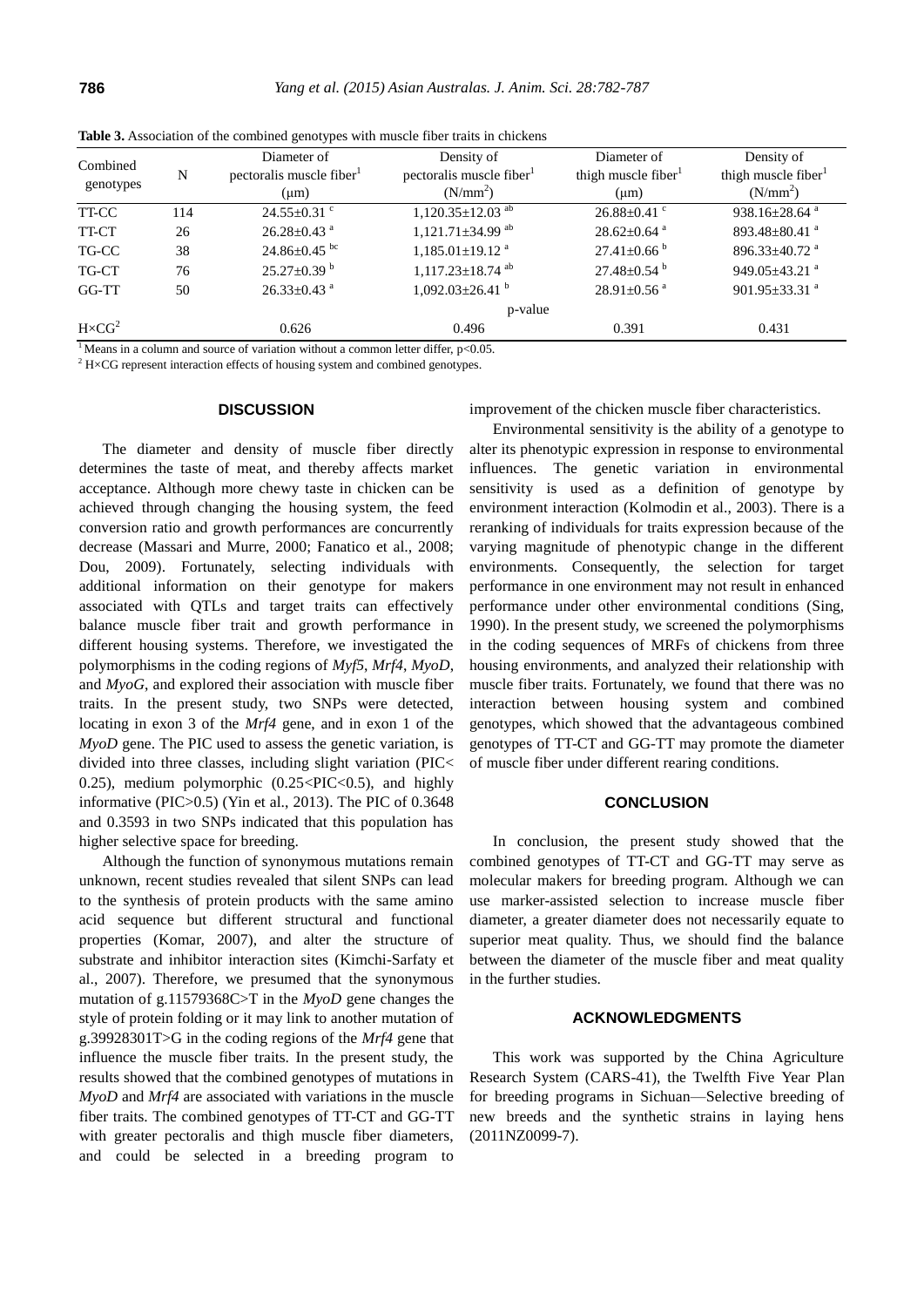| Combined<br>genotypes | N   | Diameter of<br>pectoralis muscle fiber<br>$(\mu m)$           | Density of<br>pectoralis muscle fiber <sup>1</sup><br>(N/mm <sup>2</sup> ) | Diameter of<br>thigh muscle fiber<br>$(\mu m)$ | Density of<br>thigh muscle fiber<br>(N/mm <sup>2</sup> ) |
|-----------------------|-----|---------------------------------------------------------------|----------------------------------------------------------------------------|------------------------------------------------|----------------------------------------------------------|
| TT-CC                 | 114 | $24.55 \pm 0.31$ °                                            | $1,120.35 \pm 12.03$ <sup>ab</sup>                                         | $26.88 \pm 0.41$ °                             | 938.16 $\pm$ 28.64 <sup>a</sup>                          |
| TT-CT                 | 26  | $26.28 \pm 0.43$ <sup>a</sup>                                 | $1,121.71\pm34.99$ <sup>ab</sup>                                           | $28.62 \pm 0.64$ <sup>a</sup>                  | 893.48 $\pm$ 80.41 <sup>a</sup>                          |
| TG-CC                 | 38  | $24.86 \pm 0.45$ bc                                           | $1,185.01 \pm 19.12$ <sup>a</sup>                                          | $27.41 \pm 0.66$ <sup>b</sup>                  | 896.33 $\pm$ 40.72 <sup>a</sup>                          |
| TG-CT                 | 76  | $25.27 \pm 0.39$ b                                            | $1,117.23 \pm 18.74$ <sup>ab</sup>                                         | $27.48 \pm 0.54$ <sup>b</sup>                  | 949.05 $\pm$ 43.21 $^{\circ}$                            |
| GG-TT                 | 50  | $26.33 \pm 0.43$ <sup>a</sup>                                 | $1,092.03 \pm 26.41$ <sup>b</sup>                                          | $28.91 \pm 0.56$ <sup>a</sup>                  | $901.95 \pm 33.31$ <sup>a</sup>                          |
|                       |     |                                                               | p-value                                                                    |                                                |                                                          |
| $H \times CG^2$       |     | 0.626                                                         | 0.496                                                                      | 0.391                                          | 0.431                                                    |
| $\frac{1}{2}$         |     | $\mathcal{C}$ . The set of $\mathcal{C}$<br><b>CONTRACTOR</b> | $1.1$ $1.00$<br>$\bigcap_{n\in\mathbb{N}}$                                 |                                                |                                                          |

**Table 3.** Association of the combined genotypes with muscle fiber traits in chickens

Means in a column and source of variation without a common letter differ,  $p<0.05$ .

 $2$  H×CG represent interaction effects of housing system and combined genotypes.

#### **DISCUSSION**

The diameter and density of muscle fiber directly determines the taste of meat, and thereby affects market acceptance. Although more chewy taste in chicken can be achieved through changing the housing system, the feed conversion ratio and growth performances are concurrently decrease (Massari and Murre, 2000; Fanatico et al., 2008; Dou, 2009). Fortunately, selecting individuals with additional information on their genotype for makers associated with QTLs and target traits can effectively balance muscle fiber trait and growth performance in different housing systems. Therefore, we investigated the polymorphisms in the coding regions of *Myf5*, *Mrf4*, *MyoD*, and *MyoG*, and explored their association with muscle fiber traits. In the present study, two SNPs were detected, locating in exon 3 of the *Mrf4* gene, and in exon 1 of the *MyoD* gene. The PIC used to assess the genetic variation, is divided into three classes, including slight variation (PIC< 0.25), medium polymorphic  $(0.25 \leq PIC \leq 0.5)$ , and highly informative (PIC>0.5) (Yin et al., 2013). The PIC of 0.3648 and 0.3593 in two SNPs indicated that this population has higher selective space for breeding.

Although the function of synonymous mutations remain unknown, recent studies revealed that silent SNPs can lead to the synthesis of protein products with the same amino acid sequence but different structural and functional properties (Komar, 2007), and alter the structure of substrate and inhibitor interaction sites (Kimchi-Sarfaty et al., 2007). Therefore, we presumed that the synonymous mutation of g.11579368C>T in the *MyoD* gene changes the style of protein folding or it may link to another mutation of g.39928301T>G in the coding regions of the *Mrf4* gene that influence the muscle fiber traits. In the present study, the results showed that the combined genotypes of mutations in *MyoD* and *Mrf4* are associated with variations in the muscle fiber traits. The combined genotypes of TT-CT and GG-TT with greater pectoralis and thigh muscle fiber diameters, and could be selected in a breeding program to

improvement of the chicken muscle fiber characteristics.

Environmental sensitivity is the ability of a genotype to alter its phenotypic expression in response to environmental influences. The genetic variation in environmental sensitivity is used as a definition of genotype by environment interaction (Kolmodin et al., 2003). There is a reranking of individuals for traits expression because of the varying magnitude of phenotypic change in the different environments. Consequently, the selection for target performance in one environment may not result in enhanced performance under other environmental conditions (Sing, 1990). In the present study, we screened the polymorphisms in the coding sequences of MRFs of chickens from three housing environments, and analyzed their relationship with muscle fiber traits. Fortunately, we found that there was no interaction between housing system and combined genotypes, which showed that the advantageous combined genotypes of TT-CT and GG-TT may promote the diameter of muscle fiber under different rearing conditions.

#### **CONCLUSION**

In conclusion, the present study showed that the combined genotypes of TT-CT and GG-TT may serve as molecular makers for breeding program. Although we can use marker-assisted selection to increase muscle fiber diameter, a greater diameter does not necessarily equate to superior meat quality. Thus, we should find the balance between the diameter of the muscle fiber and meat quality in the further studies.

#### **ACKNOWLEDGMENTS**

This work was supported by the China Agriculture Research System (CARS-41), the Twelfth Five Year Plan for breeding programs in Sichuan—Selective breeding of new breeds and the synthetic strains in laying hens (2011NZ0099-7).